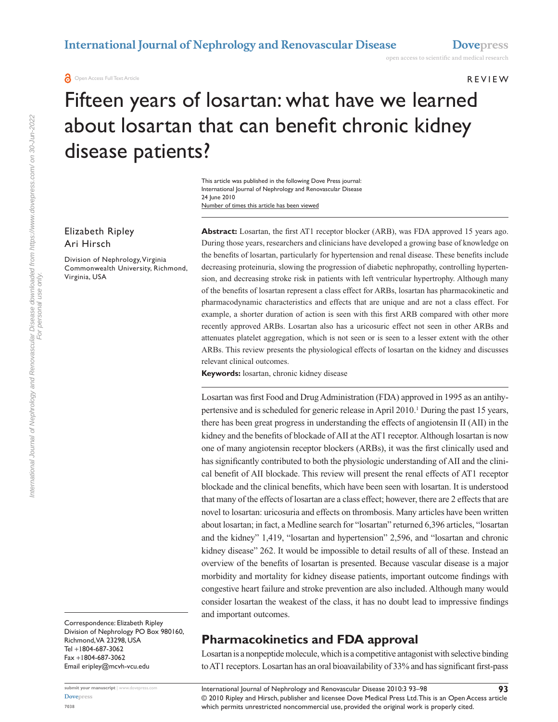#### **REVIEW**

# Fifteen years of losartan: what have we learned about losartan that can benefit chronic kidney disease patients?

Number of times this article has been viewed This article was published in the following Dove Press journal: International Journal of Nephrology and Renovascular Disease 24 June 2010

#### Elizabeth Ripley Ari Hirsch

Division of Nephrology, Virginia Commonwealth University, Richmond, Virginia, USA

Correspondence: Elizabeth Ripley Division of Nephrology PO Box 980160, Richmond, VA 23298, USA Tel +1804-687-3062 Fax +1804-687-3062 Email eripley@mcvh-vcu.edu

**Abstract:** Losartan, the first AT1 receptor blocker (ARB), was FDA approved 15 years ago. During those years, researchers and clinicians have developed a growing base of knowledge on the benefits of losartan, particularly for hypertension and renal disease. These benefits include decreasing proteinuria, slowing the progression of diabetic nephropathy, controlling hypertension, and decreasing stroke risk in patients with left ventricular hypertrophy. Although many of the benefits of losartan represent a class effect for ARBs, losartan has pharmacokinetic and pharmacodynamic characteristics and effects that are unique and are not a class effect. For example, a shorter duration of action is seen with this first ARB compared with other more recently approved ARBs. Losartan also has a uricosuric effect not seen in other ARBs and attenuates platelet aggregation, which is not seen or is seen to a lesser extent with the other ARBs. This review presents the physiological effects of losartan on the kidney and discusses relevant clinical outcomes.

**Keywords:** losartan, chronic kidney disease

Losartan was first Food and Drug Administration (FDA) approved in 1995 as an antihypertensive and is scheduled for generic release in April 2010.<sup>1</sup> During the past 15 years, there has been great progress in understanding the effects of angiotensin II (AII) in the kidney and the benefits of blockade of AII at the AT1 receptor. Although losartan is now one of many angiotensin receptor blockers (ARBs), it was the first clinically used and has significantly contributed to both the physiologic understanding of AII and the clinical benefit of AII blockade. This review will present the renal effects of AT1 receptor blockade and the clinical benefits, which have been seen with losartan. It is understood that many of the effects of losartan are a class effect; however, there are 2 effects that are novel to losartan: uricosuria and effects on thrombosis. Many articles have been written about losartan; in fact, a Medline search for "losartan" returned 6,396 articles, "losartan and the kidney" 1,419, "losartan and hypertension" 2,596, and "losartan and chronic kidney disease" 262. It would be impossible to detail results of all of these. Instead an overview of the benefits of losartan is presented. Because vascular disease is a major morbidity and mortality for kidney disease patients, important outcome findings with congestive heart failure and stroke prevention are also included. Although many would consider losartan the weakest of the class, it has no doubt lead to impressive findings and important outcomes.

## **Pharmacokinetics and FDA approval**

Losartan is a nonpeptide molecule, which is a competitive antagonist with selective binding to AT1 receptors. Losartan has an oral bioavailability of 33% and has significant first-pass

international Journal of Nephrology and Renovascular Disease downloaded from https://www.dovepress.com/ on 30-Jun-2022<br>For personal use only. International Journal of Nephrology and Renovascular Disease downloaded from https://www.dovepress.com/ on 30-Jun-2022 For personal use only.

<sup>© 2010</sup> Ripley and Hirsch, publisher and licensee Dove Medical Press Ltd. This is an Open Access article which permits unrestricted noncommercial use, provided the original work is properly cited. International Journal of Nephrology and Renovascular Disease 2010:3 93–98 **93**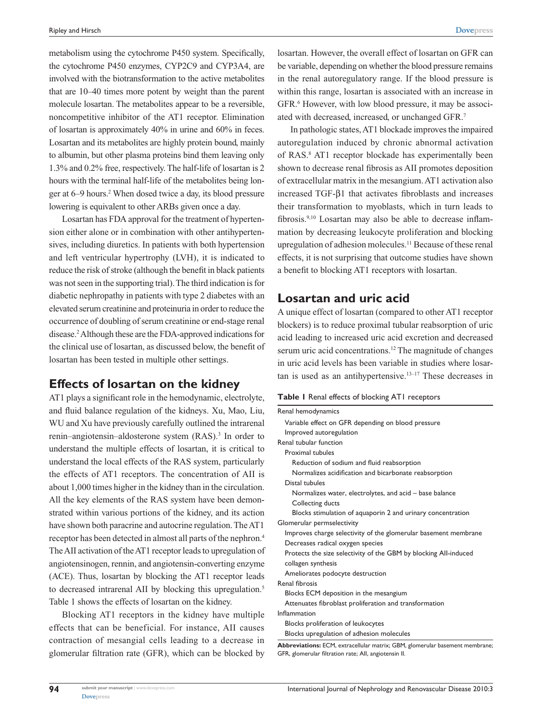metabolism using the cytochrome P450 system. Specifically, the cytochrome P450 enzymes, CYP2C9 and CYP3A4, are involved with the biotransformation to the active metabolites that are 10–40 times more potent by weight than the parent molecule losartan. The metabolites appear to be a reversible, noncompetitive inhibitor of the AT1 receptor. Elimination of losartan is approximately 40% in urine and 60% in feces. Losartan and its metabolites are highly protein bound, mainly to albumin, but other plasma proteins bind them leaving only 1.3% and 0.2% free, respectively. The half-life of losartan is 2 hours with the terminal half-life of the metabolites being longer at 6–9 hours.<sup>2</sup> When dosed twice a day, its blood pressure lowering is equivalent to other ARBs given once a day.

Losartan has FDA approval for the treatment of hypertension either alone or in combination with other antihypertensives, including diuretics. In patients with both hypertension and left ventricular hypertrophy (LVH), it is indicated to reduce the risk of stroke (although the benefit in black patients was not seen in the supporting trial). The third indication is for diabetic nephropathy in patients with type 2 diabetes with an elevated serum creatinine and proteinuria in order to reduce the occurrence of doubling of serum creatinine or end-stage renal disease.2 Although these are the FDA-approved indications for the clinical use of losartan, as discussed below, the benefit of losartan has been tested in multiple other settings.

#### **Effects of losartan on the kidney**

AT1 plays a significant role in the hemodynamic, electrolyte, and fluid balance regulation of the kidneys. Xu, Mao, Liu, WU and Xu have previously carefully outlined the intrarenal renin–angiotensin–aldosterone system (RAS).<sup>3</sup> In order to understand the multiple effects of losartan, it is critical to understand the local effects of the RAS system, particularly the effects of AT1 receptors. The concentration of AII is about 1,000 times higher in the kidney than in the circulation. All the key elements of the RAS system have been demonstrated within various portions of the kidney, and its action have shown both paracrine and autocrine regulation. The AT1 receptor has been detected in almost all parts of the nephron.4 The AII activation of the AT1 receptor leads to upregulation of angiotensinogen, rennin, and angiotensin-converting enzyme (ACE). Thus, losartan by blocking the AT1 receptor leads to decreased intrarenal AII by blocking this upregulation.<sup>5</sup> Table 1 shows the effects of losartan on the kidney.

Blocking AT1 receptors in the kidney have multiple effects that can be beneficial. For instance, AII causes contraction of mesangial cells leading to a decrease in glomerular filtration rate (GFR), which can be blocked by losartan. However, the overall effect of losartan on GFR can be variable, depending on whether the blood pressure remains in the renal autoregulatory range. If the blood pressure is within this range, losartan is associated with an increase in GFR.<sup>6</sup> However, with low blood pressure, it may be associated with decreased, increased, or unchanged GFR.7

In pathologic states, AT1 blockade improves the impaired autoregulation induced by chronic abnormal activation of RAS.8 AT1 receptor blockade has experimentally been shown to decrease renal fibrosis as AII promotes deposition of extracellular matrix in the mesangium. AT1 activation also increased TGF-β1 that activates fibroblasts and increases their transformation to myoblasts, which in turn leads to fibrosis.<sup>9,10</sup> Losartan may also be able to decrease inflammation by decreasing leukocyte proliferation and blocking upregulation of adhesion molecules.11 Because of these renal effects, it is not surprising that outcome studies have shown a benefit to blocking AT1 receptors with losartan.

#### **Losartan and uric acid**

A unique effect of losartan (compared to other AT1 receptor blockers) is to reduce proximal tubular reabsorption of uric acid leading to increased uric acid excretion and decreased serum uric acid concentrations.<sup>12</sup> The magnitude of changes in uric acid levels has been variable in studies where losartan is used as an antihypertensive.<sup>13-17</sup> These decreases in

#### **Table 1** Renal effects of blocking AT1 receptors

| Renal hemodynamics                                                                                                                                                                                                                         |
|--------------------------------------------------------------------------------------------------------------------------------------------------------------------------------------------------------------------------------------------|
| Variable effect on GFR depending on blood pressure                                                                                                                                                                                         |
| Improved autoregulation                                                                                                                                                                                                                    |
| Renal tubular function                                                                                                                                                                                                                     |
| Proximal tubules                                                                                                                                                                                                                           |
| Reduction of sodium and fluid reabsorption                                                                                                                                                                                                 |
| Normalizes acidification and bicarbonate reabsorption                                                                                                                                                                                      |
| Distal tubules                                                                                                                                                                                                                             |
| Normalizes water, electrolytes, and acid - base balance                                                                                                                                                                                    |
| Collecting ducts                                                                                                                                                                                                                           |
| Blocks stimulation of aquaporin 2 and urinary concentration                                                                                                                                                                                |
| Glomerular permselectivity                                                                                                                                                                                                                 |
| Improves charge selectivity of the glomerular basement membrane                                                                                                                                                                            |
| Decreases radical oxygen species                                                                                                                                                                                                           |
| Protects the size selectivity of the GBM by blocking All-induced                                                                                                                                                                           |
| collagen synthesis                                                                                                                                                                                                                         |
| Ameliorates podocyte destruction                                                                                                                                                                                                           |
| Renal fibrosis                                                                                                                                                                                                                             |
| Blocks ECM deposition in the mesangium                                                                                                                                                                                                     |
| Attenuates fibroblast proliferation and transformation                                                                                                                                                                                     |
| Inflammation                                                                                                                                                                                                                               |
| Blocks proliferation of leukocytes                                                                                                                                                                                                         |
| Blocks upregulation of adhesion molecules                                                                                                                                                                                                  |
| ALL $\mathbf{r} \cdot \mathbf{r}$ . FOM a subset of CRM is the set of the set of the set of the set of the set of the set of the set of the set of the set of the set of the set of the set of the set of the set of the set of the set of |

**Abbreviations:** ECM, extracellular matrix; GBM, glomerular basement membrane; GFR, glomerular filtration rate; AII, angiotensin II.

**94**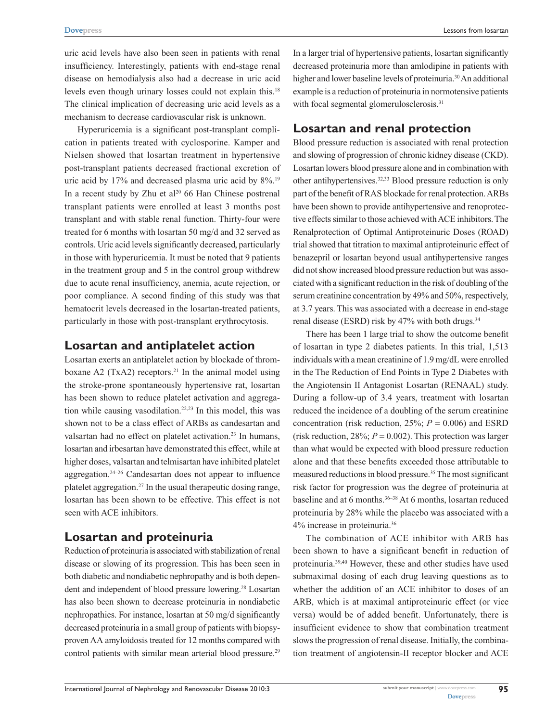uric acid levels have also been seen in patients with renal insufficiency. Interestingly, patients with end-stage renal disease on hemodialysis also had a decrease in uric acid levels even though urinary losses could not explain this.18 The clinical implication of decreasing uric acid levels as a mechanism to decrease cardiovascular risk is unknown.

Hyperuricemia is a significant post-transplant complication in patients treated with cyclosporine. Kamper and Nielsen showed that losartan treatment in hypertensive post-transplant patients decreased fractional excretion of uric acid by 17% and decreased plasma uric acid by 8%.<sup>19</sup> In a recent study by Zhu et al<sup>20</sup> 66 Han Chinese postrenal transplant patients were enrolled at least 3 months post transplant and with stable renal function. Thirty-four were treated for 6 months with losartan 50 mg/d and 32 served as controls. Uric acid levels significantly decreased, particularly in those with hyperuricemia. It must be noted that 9 patients in the treatment group and 5 in the control group withdrew due to acute renal insufficiency, anemia, acute rejection, or poor compliance. A second finding of this study was that hematocrit levels decreased in the losartan-treated patients, particularly in those with post-transplant erythrocytosis.

#### **Losartan and antiplatelet action**

Losartan exerts an antiplatelet action by blockade of thromboxane A2 (TxA2) receptors.<sup>21</sup> In the animal model using the stroke-prone spontaneously hypertensive rat, losartan has been shown to reduce platelet activation and aggregation while causing vasodilation.<sup>22,23</sup> In this model, this was shown not to be a class effect of ARBs as candesartan and valsartan had no effect on platelet activation.<sup>23</sup> In humans, losartan and irbesartan have demonstrated this effect, while at higher doses, valsartan and telmisartan have inhibited platelet aggregation. $24-26$  Candesartan does not appear to influence platelet aggregation.<sup>27</sup> In the usual therapeutic dosing range, losartan has been shown to be effective. This effect is not seen with ACE inhibitors.

## **Losartan and proteinuria**

Reduction of proteinuria is associated with stabilization of renal disease or slowing of its progression. This has been seen in both diabetic and nondiabetic nephropathy and is both dependent and independent of blood pressure lowering.28 Losartan has also been shown to decrease proteinuria in nondiabetic nephropathies. For instance, losartan at 50 mg/d significantly decreased proteinuria in a small group of patients with biopsyproven AA amyloidosis treated for 12 months compared with control patients with similar mean arterial blood pressure.<sup>29</sup>

In a larger trial of hypertensive patients, losartan significantly decreased proteinuria more than amlodipine in patients with higher and lower baseline levels of proteinuria.<sup>30</sup> An additional example is a reduction of proteinuria in normotensive patients with focal segmental glomerulosclerosis.<sup>31</sup>

## **Losartan and renal protection**

Blood pressure reduction is associated with renal protection and slowing of progression of chronic kidney disease (CKD). Losartan lowers blood pressure alone and in combination with other antihypertensives.32,33 Blood pressure reduction is only part of the benefit of RAS blockade for renal protection. ARBs have been shown to provide antihypertensive and renoprotective effects similar to those achieved with ACE inhibitors. The Renalprotection of Optimal Antiproteinuric Doses (ROAD) trial showed that titration to maximal antiproteinuric effect of benazepril or losartan beyond usual antihypertensive ranges did not show increased blood pressure reduction but was associated with a significant reduction in the risk of doubling of the serum creatinine concentration by 49% and 50%, respectively, at 3.7 years. This was associated with a decrease in end-stage renal disease (ESRD) risk by 47% with both drugs.<sup>34</sup>

There has been 1 large trial to show the outcome benefit of losartan in type 2 diabetes patients. In this trial, 1,513 individuals with a mean creatinine of 1.9 mg/dL were enrolled in the The Reduction of End Points in Type 2 Diabetes with the Angiotensin II Antagonist Losartan (RENAAL) study. During a follow-up of 3.4 years, treatment with losartan reduced the incidence of a doubling of the serum creatinine concentration (risk reduction,  $25\%$ ;  $P = 0.006$ ) and ESRD (risk reduction, 28%;  $P = 0.002$ ). This protection was larger than what would be expected with blood pressure reduction alone and that these benefits exceeded those attributable to measured reductions in blood pressure.35 The most significant risk factor for progression was the degree of proteinuria at baseline and at 6 months.<sup>36-38</sup> At 6 months, losartan reduced proteinuria by 28% while the placebo was associated with a 4% increase in proteinuria.36

The combination of ACE inhibitor with ARB has been shown to have a significant benefit in reduction of proteinuria.39,40 However, these and other studies have used submaximal dosing of each drug leaving questions as to whether the addition of an ACE inhibitor to doses of an ARB, which is at maximal antiproteinuric effect (or vice versa) would be of added benefit. Unfortunately, there is insufficient evidence to show that combination treatment slows the progression of renal disease. Initially, the combination treatment of angiotensin-II receptor blocker and ACE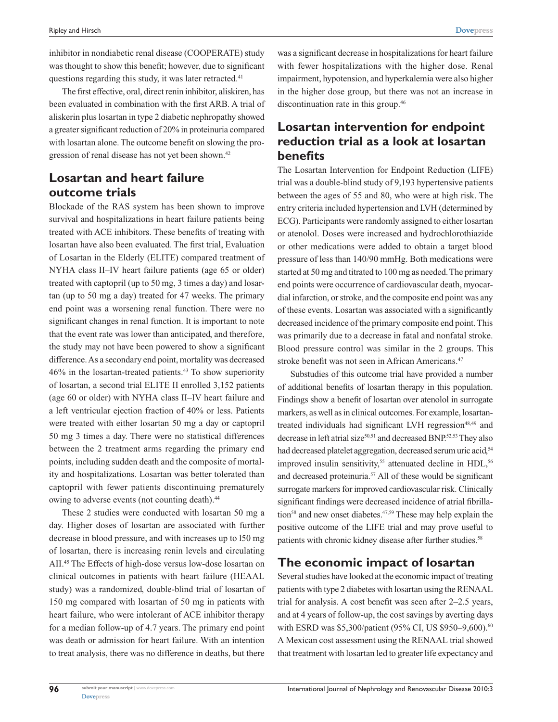inhibitor in nondiabetic renal disease (COOPERATE) study was thought to show this benefit; however, due to significant questions regarding this study, it was later retracted.<sup>41</sup>

The first effective, oral, direct renin inhibitor, aliskiren, has been evaluated in combination with the first ARB. A trial of aliskerin plus losartan in type 2 diabetic nephropathy showed a greater significant reduction of 20% in proteinuria compared with losartan alone. The outcome benefit on slowing the progression of renal disease has not yet been shown.<sup>42</sup>

# **Losartan and heart failure outcome trials**

Blockade of the RAS system has been shown to improve survival and hospitalizations in heart failure patients being treated with ACE inhibitors. These benefits of treating with losartan have also been evaluated. The first trial, Evaluation of Losartan in the Elderly (ELITE) compared treatment of NYHA class II–IV heart failure patients (age 65 or older) treated with captopril (up to 50 mg, 3 times a day) and losartan (up to 50 mg a day) treated for 47 weeks. The primary end point was a worsening renal function. There were no significant changes in renal function. It is important to note that the event rate was lower than anticipated, and therefore, the study may not have been powered to show a significant difference. As a secondary end point, mortality was decreased 46% in the losartan-treated patients.43 To show superiority of losartan, a second trial ELITE II enrolled 3,152 patients (age 60 or older) with NYHA class II–IV heart failure and a left ventricular ejection fraction of 40% or less. Patients were treated with either losartan 50 mg a day or captopril 50 mg 3 times a day. There were no statistical differences between the 2 treatment arms regarding the primary end points, including sudden death and the composite of mortality and hospitalizations. Losartan was better tolerated than captopril with fewer patients discontinuing prematurely owing to adverse events (not counting death).<sup>44</sup>

These 2 studies were conducted with losartan 50 mg a day. Higher doses of losartan are associated with further decrease in blood pressure, and with increases up to l50 mg of losartan, there is increasing renin levels and circulating AII.45 The Effects of high-dose versus low-dose losartan on clinical outcomes in patients with heart failure (HEAAL study) was a randomized, double-blind trial of losartan of 150 mg compared with losartan of 50 mg in patients with heart failure, who were intolerant of ACE inhibitor therapy for a median follow-up of 4.7 years. The primary end point was death or admission for heart failure. With an intention to treat analysis, there was no difference in deaths, but there

was a significant decrease in hospitalizations for heart failure with fewer hospitalizations with the higher dose. Renal impairment, hypotension, and hyperkalemia were also higher in the higher dose group, but there was not an increase in discontinuation rate in this group.<sup>46</sup>

# **Losartan intervention for endpoint reduction trial as a look at losartan benefits**

The Losartan Intervention for Endpoint Reduction (LIFE) trial was a double-blind study of 9,193 hypertensive patients between the ages of 55 and 80, who were at high risk. The entry criteria included hypertension and LVH (determined by ECG). Participants were randomly assigned to either losartan or atenolol. Doses were increased and hydrochlorothiazide or other medications were added to obtain a target blood pressure of less than 140/90 mmHg. Both medications were started at 50 mg and titrated to 100 mg as needed. The primary end points were occurrence of cardiovascular death, myocardial infarction, or stroke, and the composite end point was any of these events. Losartan was associated with a significantly decreased incidence of the primary composite end point. This was primarily due to a decrease in fatal and nonfatal stroke. Blood pressure control was similar in the 2 groups. This stroke benefit was not seen in African Americans.<sup>47</sup>

Substudies of this outcome trial have provided a number of additional benefits of losartan therapy in this population. Findings show a benefit of losartan over atenolol in surrogate markers, as well as in clinical outcomes. For example, losartantreated individuals had significant LVH regression<sup>48,49</sup> and decrease in left atrial size<sup>50,51</sup> and decreased BNP.<sup>52,53</sup> They also had decreased platelet aggregation, decreased serum uric acid,<sup>54</sup> improved insulin sensitivity, $55$  attenuated decline in HDL, $56$ and decreased proteinuria.57 All of these would be significant surrogate markers for improved cardiovascular risk. Clinically significant findings were decreased incidence of atrial fibrillation<sup>58</sup> and new onset diabetes.<sup>47,59</sup> These may help explain the positive outcome of the LIFE trial and may prove useful to patients with chronic kidney disease after further studies.<sup>58</sup>

# **The economic impact of losartan**

Several studies have looked at the economic impact of treating patients with type 2 diabetes with losartan using the RENAAL trial for analysis. A cost benefit was seen after 2–2.5 years, and at 4 years of follow-up, the cost savings by averting days with ESRD was \$5,300/patient (95% CI, US \$950-9,600).<sup>60</sup> A Mexican cost assessment using the RENAAL trial showed that treatment with losartan led to greater life expectancy and

**96**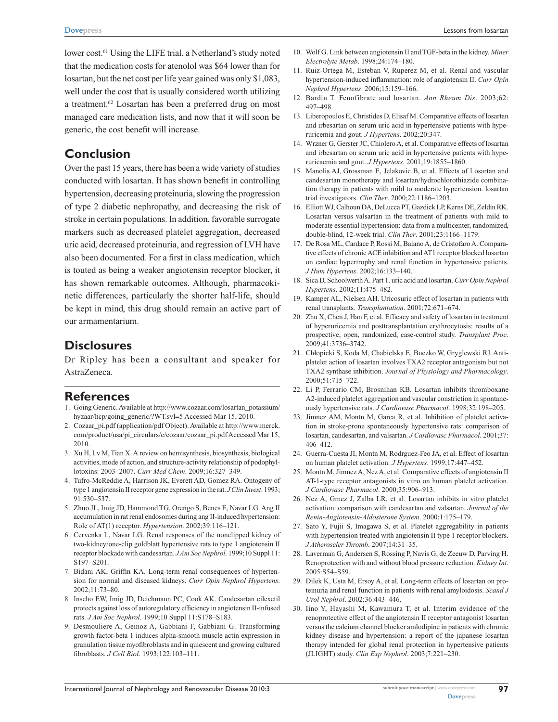Lessons from losartan

lower cost.<sup>61</sup> Using the LIFE trial, a Netherland's study noted that the medication costs for atenolol was \$64 lower than for losartan, but the net cost per life year gained was only \$1,083, well under the cost that is usually considered worth utilizing a treatment.<sup>62</sup> Losartan has been a preferred drug on most managed care medication lists, and now that it will soon be generic, the cost benefit will increase.

# **Conclusion**

Over the past 15 years, there has been a wide variety of studies conducted with losartan. It has shown benefit in controlling hypertension, decreasing proteinuria, slowing the progression of type 2 diabetic nephropathy, and decreasing the risk of stroke in certain populations. In addition, favorable surrogate markers such as decreased platelet aggregation, decreased uric acid, decreased proteinuria, and regression of LVH have also been documented. For a first in class medication, which is touted as being a weaker angiotensin receptor blocker, it has shown remarkable outcomes. Although, pharmacokinetic differences, particularly the shorter half-life, should be kept in mind, this drug should remain an active part of our armamentarium.

### **Disclosures**

Dr Ripley has been a consultant and speaker for AstraZeneca.

## **References**

- 1. Going Generic. Available at http://www.cozaar.com/losartan\_potassium/ hyzaar/hcp/going\_generic/?WT.svl=5 Accessed Mar 15, 2010.
- 2. Cozaar\_pi.pdf (application/pdf Object). Available at http://www.merck. com/product/usa/pi\_circulars/c/cozaar/cozaar\_pi.pdf Accessed Mar 15, 2010.
- 3. Xu H, Lv M, Tian X. A review on hemisynthesis, biosynthesis, biological activities, mode of action, and structure-activity relationship of podophyllotoxins: 2003–2007. *Curr Med Chem*. 2009;16:327–349.
- 4. Tufro-McReddie A, Harrison JK, Everett AD, Gomez RA. Ontogeny of type 1 angiotensin II receptor gene expression in the rat. *J Clin Invest*. 1993; 91:530–537.
- 5. Zhuo JL, Imig JD, Hammond TG, Orengo S, Benes E, Navar LG. Ang II accumulation in rat renal endosomes during ang II-induced hypertension: Role of AT(1) receptor. *Hypertension*. 2002;39:116–121.
- 6. Cervenka L, Navar LG. Renal responses of the nonclipped kidney of two-kidney/one-clip goldblatt hypertensive rats to type 1 angiotensin II receptor blockade with candesartan. *J Am Soc Nephrol*. 1999;10 Suppl 11: S197–S201.
- 7. Bidani AK, Griffin KA. Long-term renal consequences of hypertension for normal and diseased kidneys. *Curr Opin Nephrol Hypertens*. 2002;11:73–80.
- 8. Inscho EW, Imig JD, Deichmann PC, Cook AK. Candesartan cilexetil protects against loss of autoregulatory efficiency in angiotensin II-infused rats. *J Am Soc Nephrol*. 1999;10 Suppl 11:S178–S183.
- 9. Desmouliere A, Geinoz A, Gabbiani F, Gabbiani G. Transforming growth factor-beta 1 induces alpha-smooth muscle actin expression in granulation tissue myofibroblasts and in quiescent and growing cultured fibroblasts. *J Cell Biol*. 1993;122:103–111.
- 10. Wolf G. Link between angiotensin II and TGF-beta in the kidney. *Miner Electrolyte Metab*. 1998;24:174–180.
- 11. Ruiz-Ortega M, Esteban V, Ruperez M, et al. Renal and vascular hypertension-induced inflammation: role of angiotensin II. *Curr Opin Nephrol Hypertens*. 2006;15:159–166.
- 12. Bardin T. Fenofibrate and losartan. *Ann Rheum Dis*. 2003;62: 497–498.
- 13. Liberopoulos E, Christides D, Elisaf M. Comparative effects of losartan and irbesartan on serum uric acid in hypertensive patients with hyperuricemia and gout. *J Hypertens*. 2002;20:347.
- 14. Wrzner G, Gerster JC, Chiolero A, et al. Comparative effects of losartan and irbesartan on serum uric acid in hypertensive patients with hyperuricaemia and gout. *J Hypertens*. 2001;19:1855–1860.
- 15. Manolis AJ, Grossman E, Jelakovic B, et al. Effects of Losartan and candesartan monotherapy and losartan/hydrochlorothiazide combination therapy in patients with mild to moderate hypertension. losartan trial investigators. *Clin Ther*. 2000;22:1186–1203.
- 16. Elliott WJ, Calhoun DA, DeLucca PT, Gazdick LP, Kerns DE, Zeldin RK. Losartan versus valsartan in the treatment of patients with mild to moderate essential hypertension: data from a multicenter, randomized, double-blind, 12-week trial. *Clin Ther*. 2001;23:1166–1179.
- 17. De Rosa ML, Cardace P, Rossi M, Baiano A, de Cristofaro A. Comparative effects of chronic ACE inhibition and AT1 receptor blocked losartan on cardiac hypertrophy and renal function in hypertensive patients. *J Hum Hypertens*. 2002;16:133–140.
- 18. Sica D, Schoolwerth A. Part 1. uric acid and losartan. *Curr Opin Nephrol Hypertens*. 2002;11:475–482.
- 19. Kamper AL, Nielsen AH. Uricosuric effect of losartan in patients with renal transplants. *Transplantation*. 2001;72:671–674.
- 20. Zhu X, Chen J, Han F, et al. Efficacy and safety of losartan in treatment of hyperuricemia and posttransplantation erythrocytosis: results of a prospective, open, randomized, case-control study. *Transplant Proc*. 2009;41:3736–3742.
- 21. Chłopicki S, Koda M, Chabielska E, Buczko W, Gryglewski RJ. Antiplatelet action of losartan involves TXA2 receptor antagonism but not TXA2 synthase inhibition. *Journal of Physiology and Pharmacology*. 2000;51:715–722.
- 22. Li P, Ferrario CM, Brosnihan KB. Losartan inhibits thromboxane A2-induced platelet aggregation and vascular constriction in spontaneously hypertensive rats. *J Cardiovasc Pharmacol*. 1998;32:198–205.
- 23. Jimnez AM, Montn M, Garca R, et al. Inhibition of platelet activation in stroke-prone spontaneously hypertensive rats: comparison of losartan, candesartan, and valsartan. *J Cardiovasc Pharmacol*. 2001;37: 406–412.
- 24. Guerra-Cuesta JI, Montn M, Rodrguez-Feo JA, et al. Effect of losartan on human platelet activation. *J Hypertens*. 1999;17:447–452.
- 25. Montn M, Jimnez A, Nez A, et al. Comparative effects of angiotensin II AT-1-type receptor antagonists in vitro on human platelet activation. *J Cardiovasc Pharmacol*. 2000;35:906–913.
- 26. Nez A, Gmez J, Zalba LR, et al. Losartan inhibits in vitro platelet activation: comparison with candesartan and valsartan. *Journal of the Renin-Angiotensin-Aldosterone System*. 2000;1:175–179.
- 27. Sato Y, Fujii S, Imagawa S, et al. Platelet aggregability in patients with hypertension treated with angiotensin II type 1 receptor blockers. *J Atheroscler Thromb*. 2007;14:31–35.
- 28. Laverman G, Andersen S, Rossing P, Navis G, de Zeeuw D, Parving H. Renoprotection with and without blood pressure reduction. *Kidney Int*. 2005:S54–S59.
- 29. Dilek K, Usta M, Ersoy A, et al. Long-term effects of losartan on proteinuria and renal function in patients with renal amyloidosis. *Scand J Urol Nephrol*. 2002;36:443–446.
- 30. Iino Y, Hayashi M, Kawamura T, et al. Interim evidence of the renoprotective effect of the angiotensin II receptor antagonist losartan versus the calcium channel blocker amlodipine in patients with chronic kidney disease and hypertension: a report of the japanese losartan therapy intended for global renal protection in hypertensive patients (JLIGHT) study. *Clin Exp Nephrol*. 2003;7:221–230.